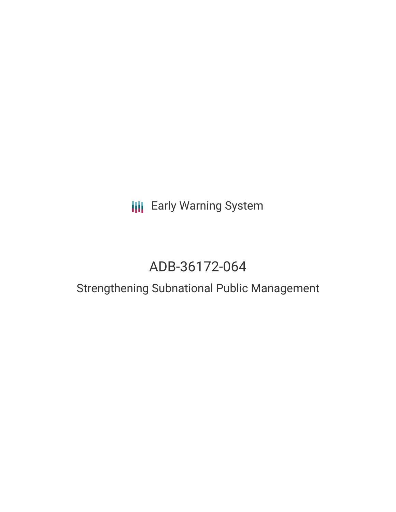## **III** Early Warning System

# ADB-36172-064

### Strengthening Subnational Public Management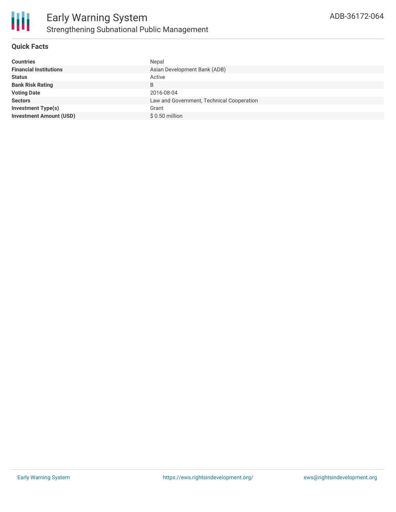

#### **Quick Facts**

| <b>Countries</b>               | Nepal                                     |
|--------------------------------|-------------------------------------------|
| <b>Financial Institutions</b>  | Asian Development Bank (ADB)              |
| <b>Status</b>                  | Active                                    |
| <b>Bank Risk Rating</b>        | B                                         |
| <b>Voting Date</b>             | 2016-08-04                                |
| <b>Sectors</b>                 | Law and Government, Technical Cooperation |
| <b>Investment Type(s)</b>      | Grant                                     |
| <b>Investment Amount (USD)</b> | $$0.50$ million                           |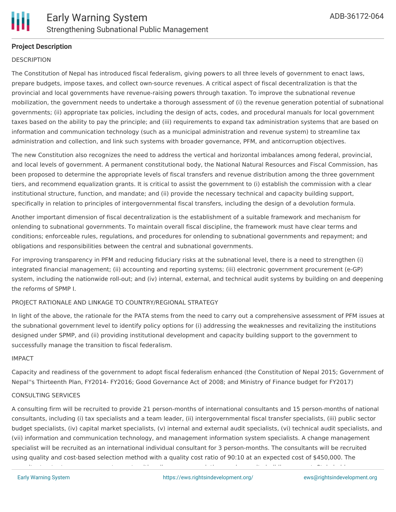

#### **Project Description**

#### **DESCRIPTION**

The Constitution of Nepal has introduced fiscal federalism, giving powers to all three levels of government to enact laws, prepare budgets, impose taxes, and collect own-source revenues. A critical aspect of fiscal decentralization is that the provincial and local governments have revenue-raising powers through taxation. To improve the subnational revenue mobilization, the government needs to undertake a thorough assessment of (i) the revenue generation potential of subnational governments; (ii) appropriate tax policies, including the design of acts, codes, and procedural manuals for local government taxes based on the ability to pay the principle; and (iii) requirements to expand tax administration systems that are based on information and communication technology (such as a municipal administration and revenue system) to streamline tax administration and collection, and link such systems with broader governance, PFM, and anticorruption objectives.

The new Constitution also recognizes the need to address the vertical and horizontal imbalances among federal, provincial, and local levels of government. A permanent constitutional body, the National Natural Resources and Fiscal Commission, has been proposed to determine the appropriate levels of fiscal transfers and revenue distribution among the three government tiers, and recommend equalization grants. It is critical to assist the government to (i) establish the commission with a clear institutional structure, function, and mandate; and (ii) provide the necessary technical and capacity building support, specifically in relation to principles of intergovernmental fiscal transfers, including the design of a devolution formula.

Another important dimension of fiscal decentralization is the establishment of a suitable framework and mechanism for onlending to subnational governments. To maintain overall fiscal discipline, the framework must have clear terms and conditions; enforceable rules, regulations, and procedures for onlending to subnational governments and repayment; and obligations and responsibilities between the central and subnational governments.

For improving transparency in PFM and reducing fiduciary risks at the subnational level, there is a need to strengthen (i) integrated financial management; (ii) accounting and reporting systems; (iii) electronic government procurement (e-GP) system, including the nationwide roll-out; and (iv) internal, external, and technical audit systems by building on and deepening the reforms of SPMP I.

#### PROJECT RATIONALE AND LINKAGE TO COUNTRY/REGIONAL STRATEGY

In light of the above, the rationale for the PATA stems from the need to carry out a comprehensive assessment of PFM issues at the subnational government level to identify policy options for (i) addressing the weaknesses and revitalizing the institutions designed under SPMP, and (ii) providing institutional development and capacity building support to the government to successfully manage the transition to fiscal federalism.

#### IMPACT

Capacity and readiness of the government to adopt fiscal federalism enhanced (the Constitution of Nepal 2015; Government of Nepal''s Thirteenth Plan, FY2014- FY2016; Good Governance Act of 2008; and Ministry of Finance budget for FY2017)

#### CONSULTING SERVICES

A consulting firm will be recruited to provide 21 person-months of international consultants and 15 person-months of national consultants, including (i) tax specialists and a team leader, (ii) intergovernmental fiscal transfer specialists, (iii) public sector budget specialists, (iv) capital market specialists, (v) internal and external audit specialists, (vi) technical audit specialists, and (vii) information and communication technology, and management information system specialists. A change management specialist will be recruited as an international individual consultant for 3 person-months. The consultants will be recruited using quality and cost-based selection method with a quality cost ratio of 90:10 at an expected cost of \$450,000. The consultant outputs are assessment reports with policy recommendations and capacity building support. Stakeholder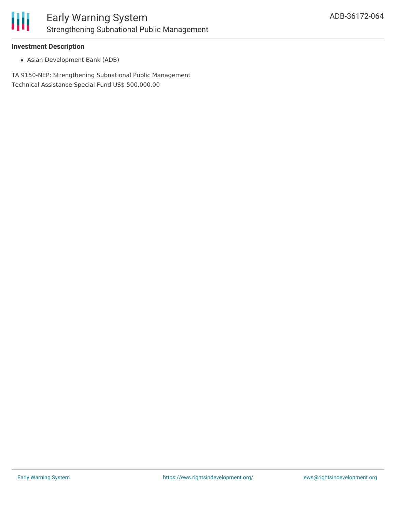

#### **Investment Description**

Asian Development Bank (ADB)

TA 9150-NEP: Strengthening Subnational Public Management Technical Assistance Special Fund US\$ 500,000.00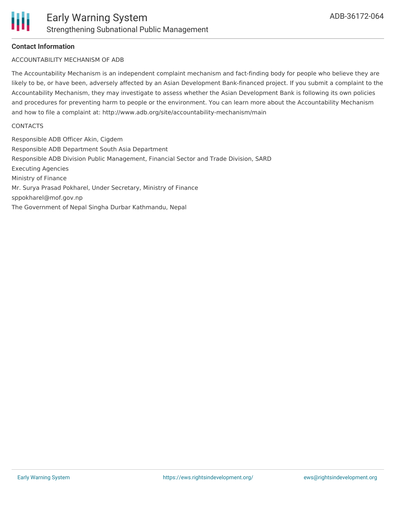#### **Contact Information**

#### ACCOUNTABILITY MECHANISM OF ADB

The Accountability Mechanism is an independent complaint mechanism and fact-finding body for people who believe they are likely to be, or have been, adversely affected by an Asian Development Bank-financed project. If you submit a complaint to the Accountability Mechanism, they may investigate to assess whether the Asian Development Bank is following its own policies and procedures for preventing harm to people or the environment. You can learn more about the Accountability Mechanism and how to file a complaint at: http://www.adb.org/site/accountability-mechanism/main

#### **CONTACTS**

Responsible ADB Officer Akin, Cigdem Responsible ADB Department South Asia Department Responsible ADB Division Public Management, Financial Sector and Trade Division, SARD Executing Agencies Ministry of Finance Mr. Surya Prasad Pokharel, Under Secretary, Ministry of Finance sppokharel@mof.gov.np The Government of Nepal Singha Durbar Kathmandu, Nepal